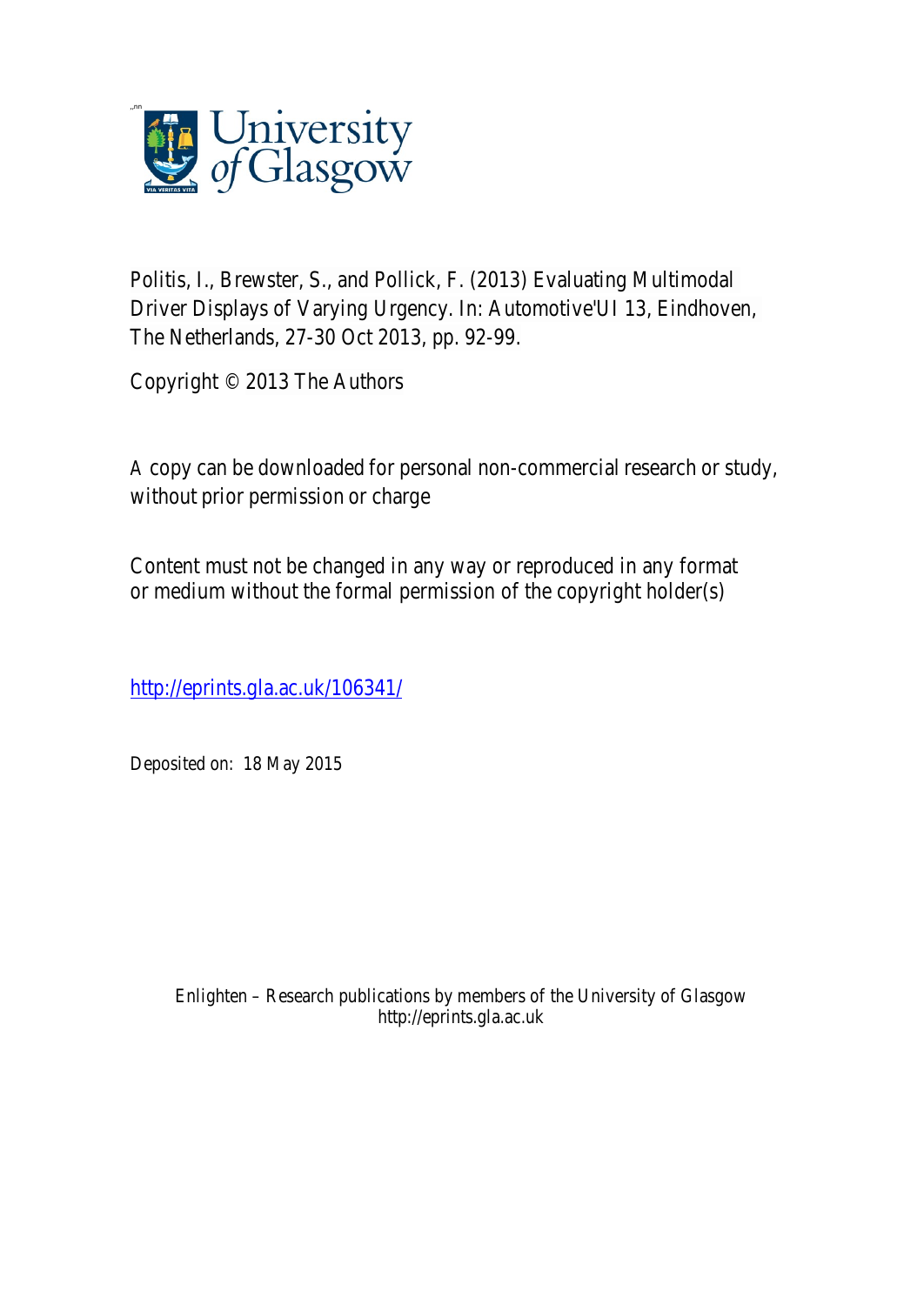

Politis, I., Brewster, S., and Pollick, F. (2013) Evaluating Multimodal Driver Displays of Varying Urgency. In: Automotive'UI 13, Eindhoven, The Netherlands, 27-30 Oct 2013, pp. 92-99.

Copyright © 2013 The Authors

A copy can be downloaded for personal non-commercial research or study, without prior permission or charge

Content must not be changed in any way or reproduced in any format or medium without the formal permission of the copyright holder(s)

http://eprints.gla.ac.uk/106341/

Deposited on: 18 May 2015

Enlighten – Research publications by members of the University of Glasgow http://eprints.gla.ac.uk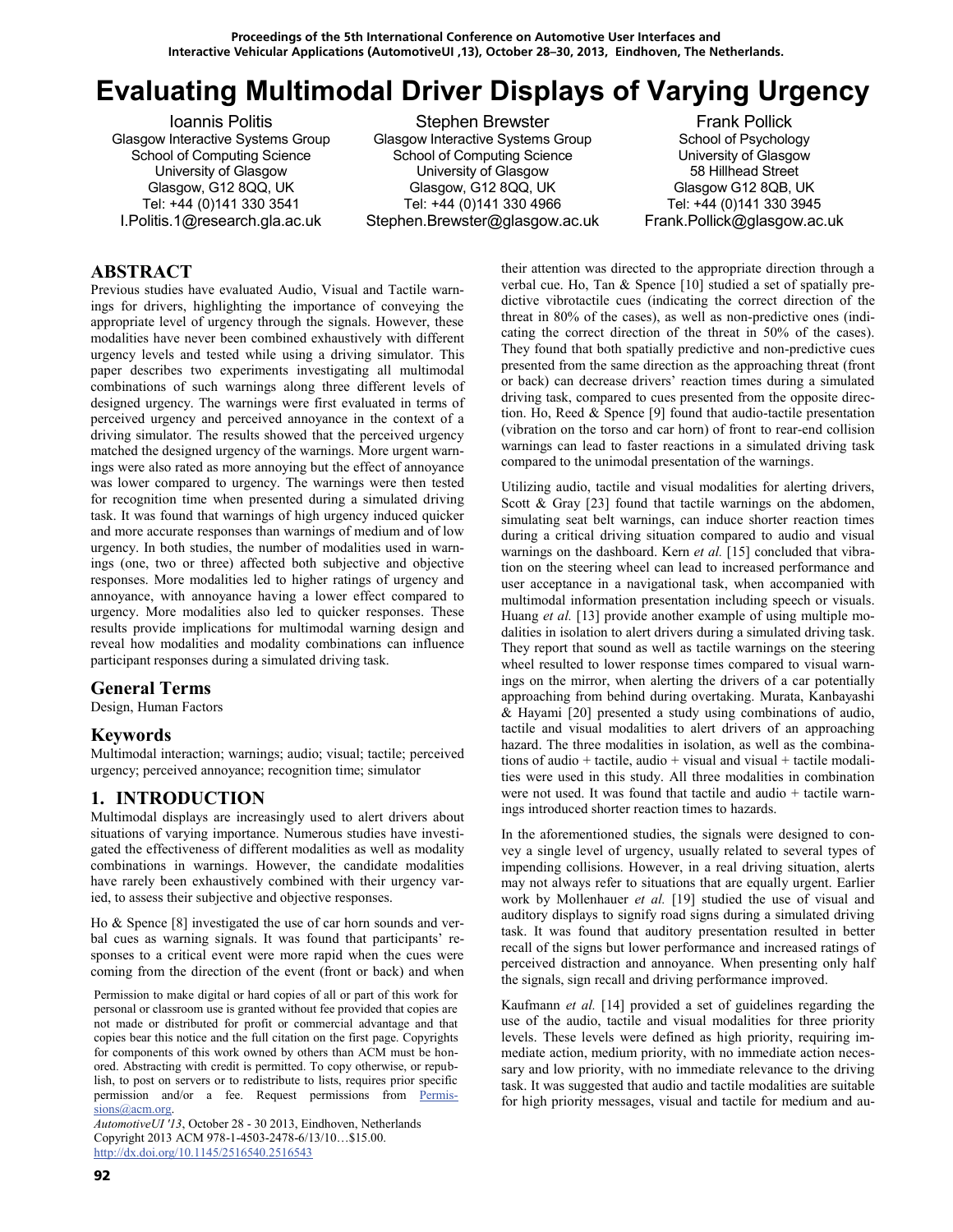# **Evaluating Multimodal Driver Displays of Varying Urgency**

Ioannis Politis Glasgow Interactive Systems Group School of Computing Science University of Glasgow Glasgow, G12 8QQ, UK Tel: +44 (0)141 330 3541 I.Politis.1@research.gla.ac.uk

Stephen Brewster Glasgow Interactive Systems Group School of Computing Science University of Glasgow Glasgow, G12 8QQ, UK Tel: +44 (0)141 330 4966 Stephen.Brewster@glasgow.ac.uk

Frank Pollick School of Psychology University of Glasgow 58 Hillhead Street Glasgow G12 8QB, UK Tel: +44 (0)141 330 3945 Frank.Pollick@glasgow.ac.uk

# **ABSTRACT**

Previous studies have evaluated Audio, Visual and Tactile warnings for drivers, highlighting the importance of conveying the appropriate level of urgency through the signals. However, these modalities have never been combined exhaustively with different urgency levels and tested while using a driving simulator. This paper describes two experiments investigating all multimodal combinations of such warnings along three different levels of designed urgency. The warnings were first evaluated in terms of perceived urgency and perceived annoyance in the context of a driving simulator. The results showed that the perceived urgency matched the designed urgency of the warnings. More urgent warnings were also rated as more annoying but the effect of annoyance was lower compared to urgency. The warnings were then tested for recognition time when presented during a simulated driving task. It was found that warnings of high urgency induced quicker and more accurate responses than warnings of medium and of low urgency. In both studies, the number of modalities used in warnings (one, two or three) affected both subjective and objective responses. More modalities led to higher ratings of urgency and annoyance, with annoyance having a lower effect compared to urgency. More modalities also led to quicker responses. These results provide implications for multimodal warning design and reveal how modalities and modality combinations can influence participant responses during a simulated driving task.

### **General Terms**

Design, Human Factors

# **Keywords**

Multimodal interaction; warnings; audio; visual; tactile; perceived urgency; perceived annoyance; recognition time; simulator

# **1. INTRODUCTION**

Multimodal displays are increasingly used to alert drivers about situations of varying importance. Numerous studies have investigated the effectiveness of different modalities as well as modality combinations in warnings. However, the candidate modalities have rarely been exhaustively combined with their urgency varied, to assess their subjective and objective responses.

Ho & Spence [8] investigated the use of car horn sounds and verbal cues as warning signals. It was found that participants' responses to a critical event were more rapid when the cues were coming from the direction of the event (front or back) and when

Permission to make digital or hard copies of all or part of this work for personal or classroom use is granted without fee provided that copies are not made or distributed for profit or commercial advantage and that copies bear this notice and the full citation on the first page. Copyrights for components of this work owned by others than ACM must be honored. Abstracting with credit is permitted. To copy otherwise, or republish, to post on servers or to redistribute to lists, requires prior specific permission and/or a fee. Request permissions from Permissions@acm.org.

*AutomotiveUI '13*, October 28 - 30 2013, Eindhoven, Netherlands Copyright 2013 ACM 978-1-4503-2478-6/13/10…\$15.00. http://dx.doi.org/10.1145/2516540.2516543

their attention was directed to the appropriate direction through a verbal cue. Ho, Tan & Spence [10] studied a set of spatially predictive vibrotactile cues (indicating the correct direction of the threat in 80% of the cases), as well as non-predictive ones (indicating the correct direction of the threat in 50% of the cases). They found that both spatially predictive and non-predictive cues presented from the same direction as the approaching threat (front or back) can decrease drivers' reaction times during a simulated driving task, compared to cues presented from the opposite direction. Ho, Reed & Spence [9] found that audio-tactile presentation (vibration on the torso and car horn) of front to rear-end collision warnings can lead to faster reactions in a simulated driving task compared to the unimodal presentation of the warnings.

Utilizing audio, tactile and visual modalities for alerting drivers, Scott  $& Gray [23]$  found that tactile warnings on the abdomen, simulating seat belt warnings, can induce shorter reaction times during a critical driving situation compared to audio and visual warnings on the dashboard. Kern *et al.* [15] concluded that vibration on the steering wheel can lead to increased performance and user acceptance in a navigational task, when accompanied with multimodal information presentation including speech or visuals. Huang *et al.* [13] provide another example of using multiple modalities in isolation to alert drivers during a simulated driving task. They report that sound as well as tactile warnings on the steering wheel resulted to lower response times compared to visual warnings on the mirror, when alerting the drivers of a car potentially approaching from behind during overtaking. Murata, Kanbayashi & Hayami [20] presented a study using combinations of audio, tactile and visual modalities to alert drivers of an approaching hazard. The three modalities in isolation, as well as the combinations of audio  $+$  tactile, audio  $+$  visual and visual  $+$  tactile modalities were used in this study. All three modalities in combination were not used. It was found that tactile and audio + tactile warnings introduced shorter reaction times to hazards.

In the aforementioned studies, the signals were designed to convey a single level of urgency, usually related to several types of impending collisions. However, in a real driving situation, alerts may not always refer to situations that are equally urgent. Earlier work by Mollenhauer *et al.* [19] studied the use of visual and auditory displays to signify road signs during a simulated driving task. It was found that auditory presentation resulted in better recall of the signs but lower performance and increased ratings of perceived distraction and annoyance. When presenting only half the signals, sign recall and driving performance improved.

Kaufmann *et al.* [14] provided a set of guidelines regarding the use of the audio, tactile and visual modalities for three priority levels. These levels were defined as high priority, requiring immediate action, medium priority, with no immediate action necessary and low priority, with no immediate relevance to the driving task. It was suggested that audio and tactile modalities are suitable for high priority messages, visual and tactile for medium and au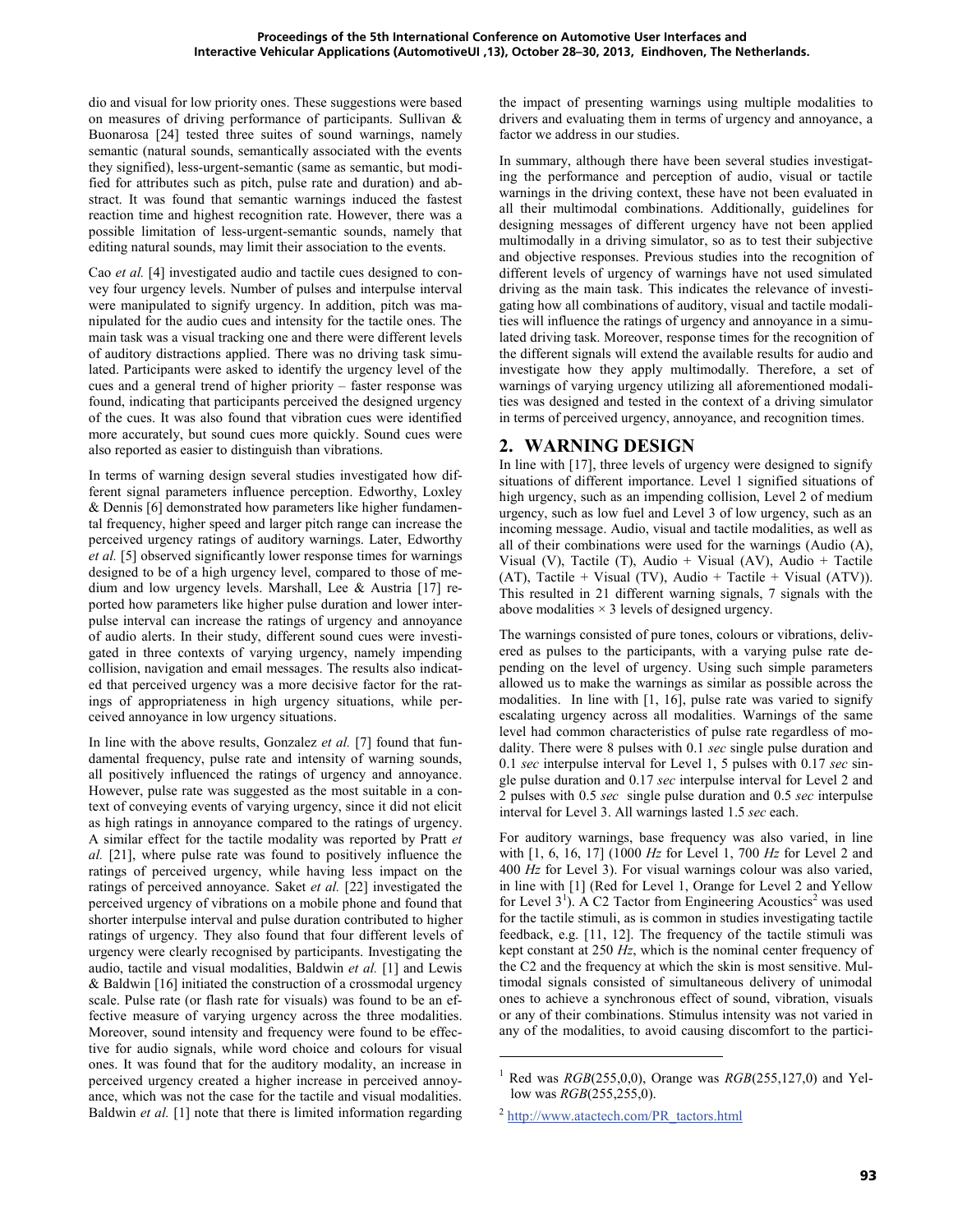dio and visual for low priority ones. These suggestions were based on measures of driving performance of participants. Sullivan & Buonarosa [24] tested three suites of sound warnings, namely semantic (natural sounds, semantically associated with the events they signified), less-urgent-semantic (same as semantic, but modified for attributes such as pitch, pulse rate and duration) and abstract. It was found that semantic warnings induced the fastest reaction time and highest recognition rate. However, there was a possible limitation of less-urgent-semantic sounds, namely that editing natural sounds, may limit their association to the events.

Cao *et al.* [4] investigated audio and tactile cues designed to convey four urgency levels. Number of pulses and interpulse interval were manipulated to signify urgency. In addition, pitch was manipulated for the audio cues and intensity for the tactile ones. The main task was a visual tracking one and there were different levels of auditory distractions applied. There was no driving task simulated. Participants were asked to identify the urgency level of the cues and a general trend of higher priority – faster response was found, indicating that participants perceived the designed urgency of the cues. It was also found that vibration cues were identified more accurately, but sound cues more quickly. Sound cues were also reported as easier to distinguish than vibrations.

In terms of warning design several studies investigated how different signal parameters influence perception. Edworthy, Loxley & Dennis [6] demonstrated how parameters like higher fundamental frequency, higher speed and larger pitch range can increase the perceived urgency ratings of auditory warnings. Later, Edworthy *et al.* [5] observed significantly lower response times for warnings designed to be of a high urgency level, compared to those of medium and low urgency levels. Marshall, Lee & Austria [17] reported how parameters like higher pulse duration and lower interpulse interval can increase the ratings of urgency and annoyance of audio alerts. In their study, different sound cues were investigated in three contexts of varying urgency, namely impending collision, navigation and email messages. The results also indicated that perceived urgency was a more decisive factor for the ratings of appropriateness in high urgency situations, while perceived annoyance in low urgency situations.

In line with the above results, Gonzalez *et al.* [7] found that fundamental frequency, pulse rate and intensity of warning sounds, all positively influenced the ratings of urgency and annoyance. However, pulse rate was suggested as the most suitable in a context of conveying events of varying urgency, since it did not elicit as high ratings in annoyance compared to the ratings of urgency. A similar effect for the tactile modality was reported by Pratt *et al.* [21], where pulse rate was found to positively influence the ratings of perceived urgency, while having less impact on the ratings of perceived annoyance. Saket *et al.* [22] investigated the perceived urgency of vibrations on a mobile phone and found that shorter interpulse interval and pulse duration contributed to higher ratings of urgency. They also found that four different levels of urgency were clearly recognised by participants. Investigating the audio, tactile and visual modalities, Baldwin *et al.* [1] and Lewis & Baldwin [16] initiated the construction of a crossmodal urgency scale. Pulse rate (or flash rate for visuals) was found to be an effective measure of varying urgency across the three modalities. Moreover, sound intensity and frequency were found to be effective for audio signals, while word choice and colours for visual ones. It was found that for the auditory modality, an increase in perceived urgency created a higher increase in perceived annoyance, which was not the case for the tactile and visual modalities. Baldwin *et al.* [1] note that there is limited information regarding

the impact of presenting warnings using multiple modalities to drivers and evaluating them in terms of urgency and annoyance, a factor we address in our studies.

In summary, although there have been several studies investigating the performance and perception of audio, visual or tactile warnings in the driving context, these have not been evaluated in all their multimodal combinations. Additionally, guidelines for designing messages of different urgency have not been applied multimodally in a driving simulator, so as to test their subjective and objective responses. Previous studies into the recognition of different levels of urgency of warnings have not used simulated driving as the main task. This indicates the relevance of investigating how all combinations of auditory, visual and tactile modalities will influence the ratings of urgency and annoyance in a simulated driving task. Moreover, response times for the recognition of the different signals will extend the available results for audio and investigate how they apply multimodally. Therefore, a set of warnings of varying urgency utilizing all aforementioned modalities was designed and tested in the context of a driving simulator in terms of perceived urgency, annoyance, and recognition times.

# **2. WARNING DESIGN**

In line with [17], three levels of urgency were designed to signify situations of different importance. Level 1 signified situations of high urgency, such as an impending collision, Level 2 of medium urgency, such as low fuel and Level 3 of low urgency, such as an incoming message. Audio, visual and tactile modalities, as well as all of their combinations were used for the warnings (Audio (A), Visual (V), Tactile (T), Audio + Visual (AV), Audio + Tactile (AT), Tactile + Visual (TV), Audio + Tactile + Visual (ATV)). This resulted in 21 different warning signals, 7 signals with the above modalities  $\times$  3 levels of designed urgency.

The warnings consisted of pure tones, colours or vibrations, delivered as pulses to the participants, with a varying pulse rate depending on the level of urgency. Using such simple parameters allowed us to make the warnings as similar as possible across the modalities. In line with [1, 16], pulse rate was varied to signify escalating urgency across all modalities. Warnings of the same level had common characteristics of pulse rate regardless of modality. There were 8 pulses with 0.1 *sec* single pulse duration and 0.1 *sec* interpulse interval for Level 1, 5 pulses with 0.17 *sec* single pulse duration and 0.17 *sec* interpulse interval for Level 2 and 2 pulses with 0.5 *sec* single pulse duration and 0.5 *sec* interpulse interval for Level 3. All warnings lasted 1.5 *sec* each.

For auditory warnings, base frequency was also varied, in line with [1, 6, 16, 17] (1000 *Hz* for Level 1, 700 *Hz* for Level 2 and 400 *Hz* for Level 3). For visual warnings colour was also varied, in line with [1] (Red for Level 1, Orange for Level 2 and Yellow for Level  $3<sup>1</sup>$ ). A C2 Tactor from Engineering Acoustics<sup>2</sup> was used for the tactile stimuli, as is common in studies investigating tactile feedback, e.g. [11, 12]. The frequency of the tactile stimuli was kept constant at 250 *Hz*, which is the nominal center frequency of the C2 and the frequency at which the skin is most sensitive. Multimodal signals consisted of simultaneous delivery of unimodal ones to achieve a synchronous effect of sound, vibration, visuals or any of their combinations. Stimulus intensity was not varied in any of the modalities, to avoid causing discomfort to the partici-

1

<sup>&</sup>lt;sup>1</sup> Red was *RGB*(255,0,0), Orange was *RGB*(255,127,0) and Yellow was *RGB*(255,255,0).

<sup>2</sup> http://www.atactech.com/PR\_tactors.html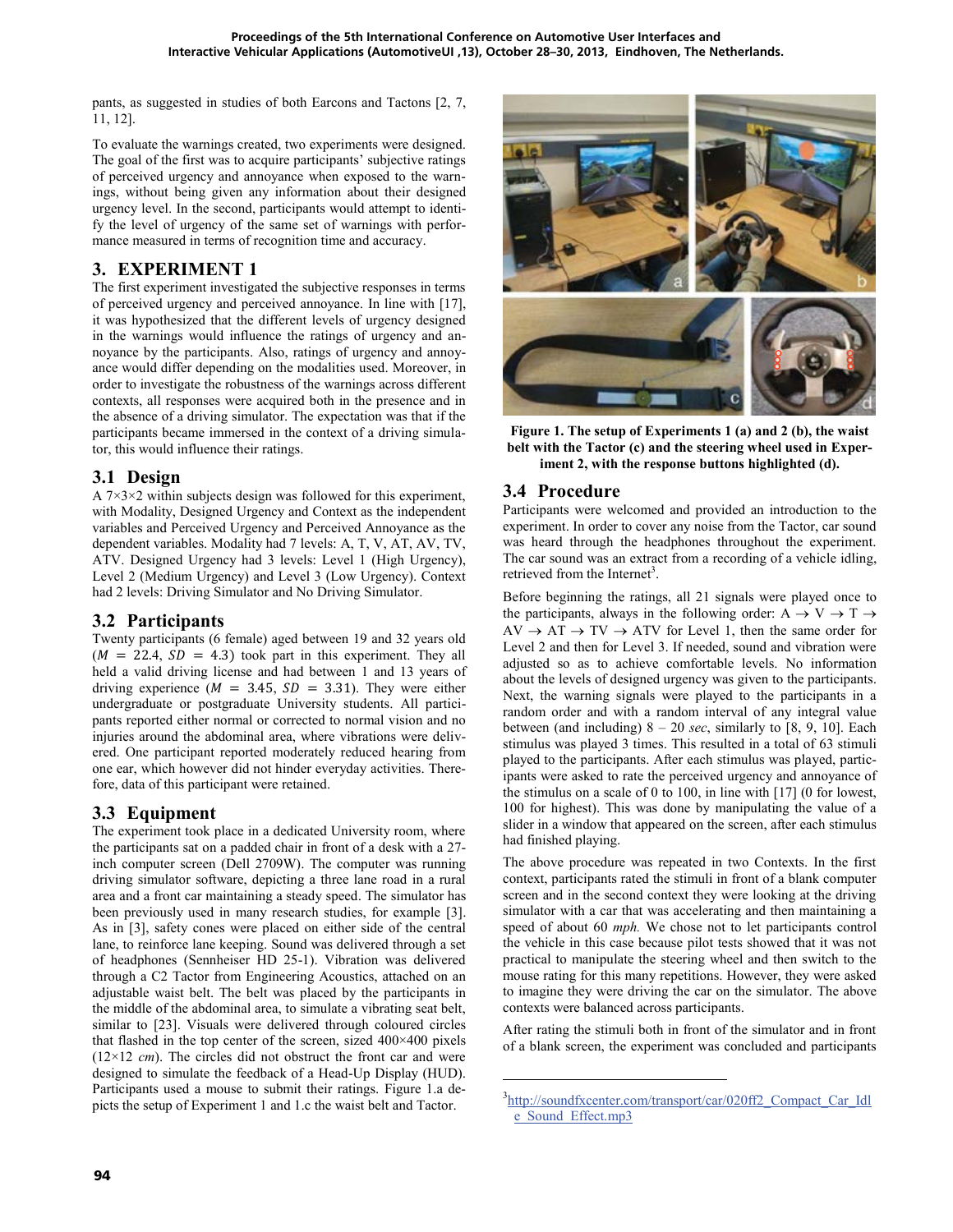pants, as suggested in studies of both Earcons and Tactons [2, 7, 11, 12].

To evaluate the warnings created, two experiments were designed. The goal of the first was to acquire participants' subjective ratings of perceived urgency and annoyance when exposed to the warnings, without being given any information about their designed urgency level. In the second, participants would attempt to identify the level of urgency of the same set of warnings with performance measured in terms of recognition time and accuracy.

# **3. EXPERIMENT 1**

The first experiment investigated the subjective responses in terms of perceived urgency and perceived annoyance. In line with [17], it was hypothesized that the different levels of urgency designed in the warnings would influence the ratings of urgency and annoyance by the participants. Also, ratings of urgency and annoyance would differ depending on the modalities used. Moreover, in order to investigate the robustness of the warnings across different contexts, all responses were acquired both in the presence and in the absence of a driving simulator. The expectation was that if the participants became immersed in the context of a driving simulator, this would influence their ratings.

# **3.1 Design**

A 7×3×2 within subjects design was followed for this experiment, with Modality, Designed Urgency and Context as the independent variables and Perceived Urgency and Perceived Annoyance as the dependent variables. Modality had 7 levels: A, T, V, AT, AV, TV, ATV. Designed Urgency had 3 levels: Level 1 (High Urgency), Level 2 (Medium Urgency) and Level 3 (Low Urgency). Context had 2 levels: Driving Simulator and No Driving Simulator.

# **3.2 Participants**

Twenty participants (6 female) aged between 19 and 32 years old  $(M = 22.4, SD = 4.3)$  took part in this experiment. They all held a valid driving license and had between 1 and 13 years of driving experience ( $M = 3.45$ ,  $SD = 3.31$ ). They were either undergraduate or postgraduate University students. All participants reported either normal or corrected to normal vision and no injuries around the abdominal area, where vibrations were delivered. One participant reported moderately reduced hearing from one ear, which however did not hinder everyday activities. Therefore, data of this participant were retained.

# **3.3 Equipment**

The experiment took place in a dedicated University room, where the participants sat on a padded chair in front of a desk with a 27 inch computer screen (Dell 2709W). The computer was running driving simulator software, depicting a three lane road in a rural area and a front car maintaining a steady speed. The simulator has been previously used in many research studies, for example [3]. As in [3], safety cones were placed on either side of the central lane, to reinforce lane keeping. Sound was delivered through a set of headphones (Sennheiser HD 25-1). Vibration was delivered through a C2 Tactor from Engineering Acoustics, attached on an adjustable waist belt. The belt was placed by the participants in the middle of the abdominal area, to simulate a vibrating seat belt, similar to [23]. Visuals were delivered through coloured circles that flashed in the top center of the screen, sized 400×400 pixels (12×12 *cm*). The circles did not obstruct the front car and were designed to simulate the feedback of a Head-Up Display (HUD). Participants used a mouse to submit their ratings. Figure 1.a depicts the setup of Experiment 1 and 1.c the waist belt and Tactor.



**Figure 1. The setup of Experiments 1 (a) and 2 (b), the waist belt with the Tactor (c) and the steering wheel used in Experiment 2, with the response buttons highlighted (d).** 

# **3.4 Procedure**

1

Participants were welcomed and provided an introduction to the experiment. In order to cover any noise from the Tactor, car sound was heard through the headphones throughout the experiment. The car sound was an extract from a recording of a vehicle idling, retrieved from the Internet<sup>3</sup>.

Before beginning the ratings, all 21 signals were played once to the participants, always in the following order: A  $\rightarrow$  V  $\rightarrow$  T  $\rightarrow$  $AV \rightarrow AT \rightarrow TV \rightarrow ATV$  for Level 1, then the same order for Level 2 and then for Level 3. If needed, sound and vibration were adjusted so as to achieve comfortable levels. No information about the levels of designed urgency was given to the participants. Next, the warning signals were played to the participants in a random order and with a random interval of any integral value between (and including) 8 – 20 *sec*, similarly to [8, 9, 10]. Each stimulus was played 3 times. This resulted in a total of 63 stimuli played to the participants. After each stimulus was played, participants were asked to rate the perceived urgency and annoyance of the stimulus on a scale of 0 to 100, in line with [17] (0 for lowest, 100 for highest). This was done by manipulating the value of a slider in a window that appeared on the screen, after each stimulus had finished playing.

The above procedure was repeated in two Contexts. In the first context, participants rated the stimuli in front of a blank computer screen and in the second context they were looking at the driving simulator with a car that was accelerating and then maintaining a speed of about 60 *mph.* We chose not to let participants control the vehicle in this case because pilot tests showed that it was not practical to manipulate the steering wheel and then switch to the mouse rating for this many repetitions. However, they were asked to imagine they were driving the car on the simulator. The above contexts were balanced across participants.

After rating the stimuli both in front of the simulator and in front of a blank screen, the experiment was concluded and participants

<sup>&</sup>lt;sup>3</sup>http://soundfxcenter.com/transport/car/020ff2\_Compact\_Car\_Idl e\_Sound\_Effect.mp3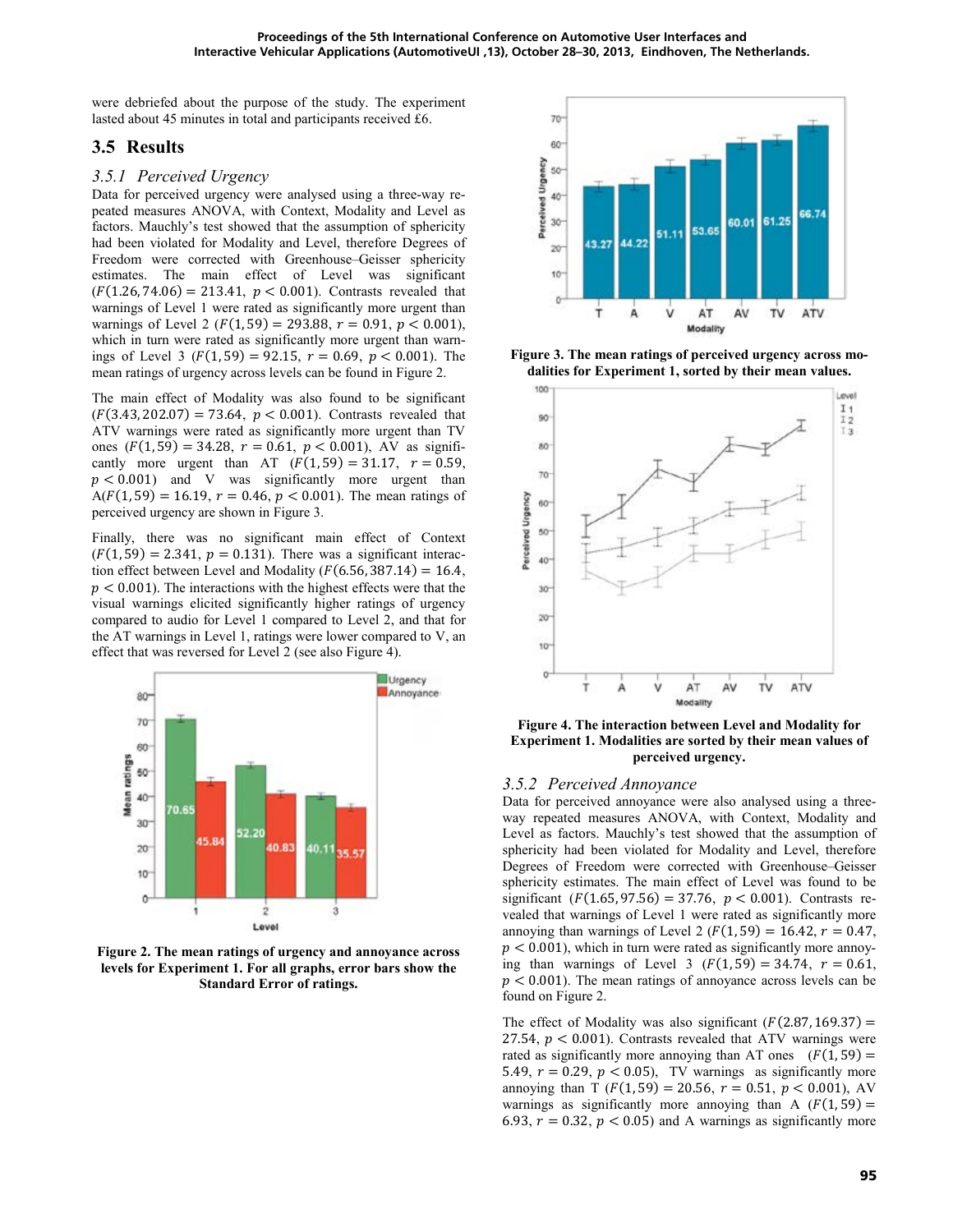were debriefed about the purpose of the study. The experiment lasted about 45 minutes in total and participants received £6.

### **3.5 Results**

#### *3.5.1 Perceived Urgency*

Data for perceived urgency were analysed using a three-way repeated measures ANOVA, with Context, Modality and Level as factors. Mauchly's test showed that the assumption of sphericity had been violated for Modality and Level, therefore Degrees of Freedom were corrected with Greenhouse–Geisser sphericity estimates. The main effect of Level was significant  $(F(1.26, 74.06) = 213.41, p < 0.001)$ . Contrasts revealed that warnings of Level 1 were rated as significantly more urgent than warnings of Level 2 ( $F(1, 59) = 293.88$ ,  $r = 0.91$ ,  $p < 0.001$ ), which in turn were rated as significantly more urgent than warnings of Level 3 ( $F(1, 59) = 92.15$ ,  $r = 0.69$ ,  $p < 0.001$ ). The mean ratings of urgency across levels can be found in Figure 2.

The main effect of Modality was also found to be significant  $(F(3.43, 202.07) = 73.64, p < 0.001)$ . Contrasts revealed that ATV warnings were rated as significantly more urgent than TV ones  $(F(1, 59) = 34.28, r = 0.61, p < 0.001)$ , AV as significantly more urgent than AT  $(F(1, 59) = 31.17, r = 0.59,$  $p < 0.001$ ) and V was significantly more urgent than  $A(F(1, 59) = 16.19, r = 0.46, p < 0.001)$ . The mean ratings of perceived urgency are shown in Figure 3.

Finally, there was no significant main effect of Context  $(F(1, 59) = 2.341, p = 0.131)$ . There was a significant interaction effect between Level and Modality  $(F(6.56, 387.14) = 16.4,$  $p < 0.001$ ). The interactions with the highest effects were that the visual warnings elicited significantly higher ratings of urgency compared to audio for Level 1 compared to Level 2, and that for the AT warnings in Level 1, ratings were lower compared to V, an effect that was reversed for Level 2 (see also Figure 4).



**Figure 2. The mean ratings of urgency and annoyance across levels for Experiment 1. For all graphs, error bars show the Standard Error of ratings.** 







**Figure 4. The interaction between Level and Modality for Experiment 1. Modalities are sorted by their mean values of perceived urgency.**

#### *3.5.2 Perceived Annoyance*

Data for perceived annoyance were also analysed using a threeway repeated measures ANOVA, with Context, Modality and Level as factors. Mauchly's test showed that the assumption of sphericity had been violated for Modality and Level, therefore Degrees of Freedom were corrected with Greenhouse–Geisser sphericity estimates. The main effect of Level was found to be significant  $(F(1.65, 97.56) = 37.76, p < 0.001)$ . Contrasts revealed that warnings of Level 1 were rated as significantly more annoying than warnings of Level 2 ( $F(1, 59) = 16.42$ ,  $r = 0.47$ ,  $p < 0.001$ ), which in turn were rated as significantly more annoying than warnings of Level 3  $(F(1, 59) = 34.74, r = 0.61,$  $p < 0.001$ ). The mean ratings of annoyance across levels can be found on Figure 2.

The effect of Modality was also significant  $(F(2.87, 169.37) =$ 27.54,  $p < 0.001$ ). Contrasts revealed that ATV warnings were rated as significantly more annoying than AT ones  $(F(1, 59) =$ 5.49,  $r = 0.29$ ,  $p < 0.05$ ), TV warnings as significantly more annoying than T  $(F(1, 59) = 20.56, r = 0.51, p < 0.001)$ , AV warnings as significantly more annoying than A  $(F(1, 59) =$ 6.93,  $r = 0.32$ ,  $p < 0.05$ ) and A warnings as significantly more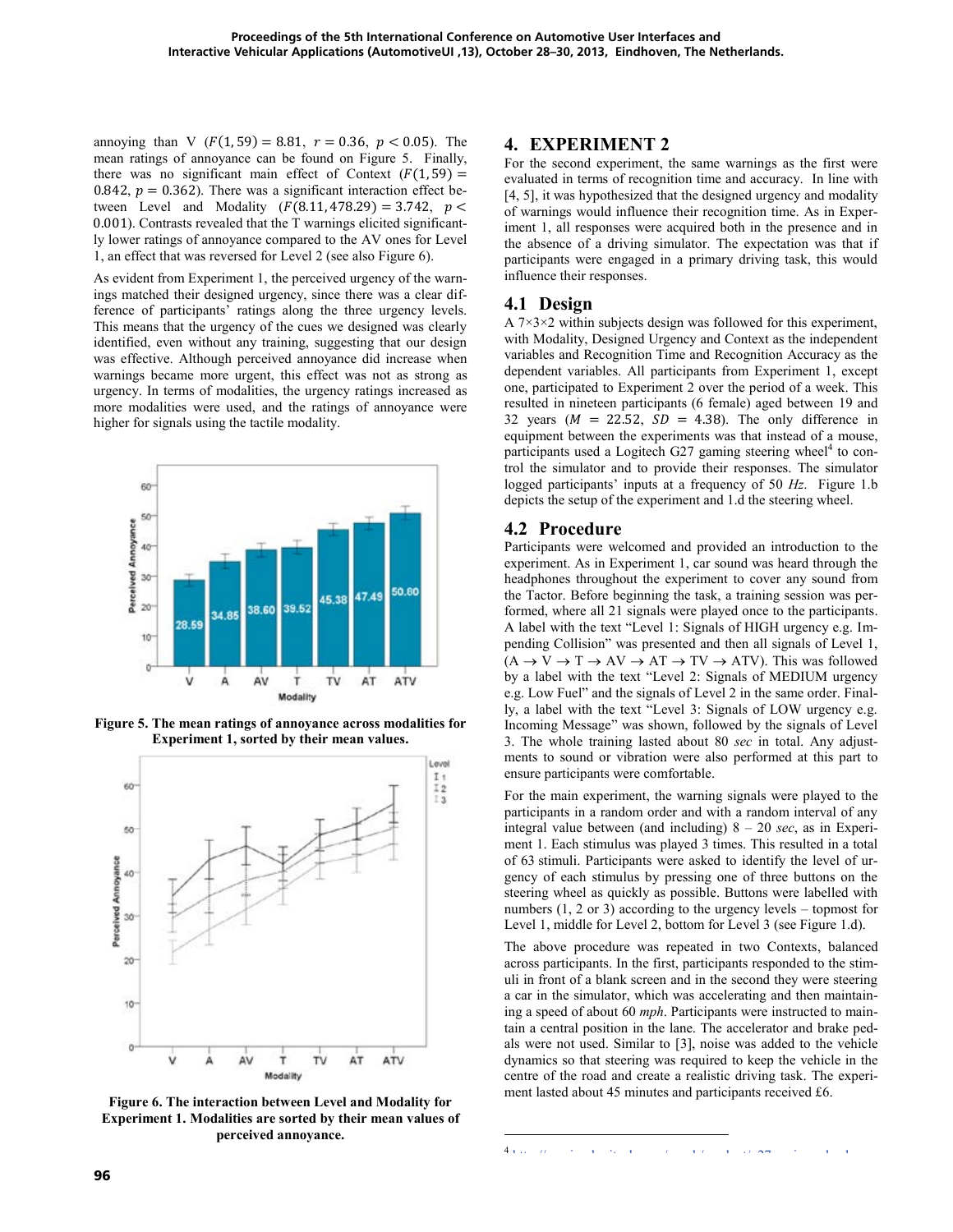annoying than V  $(F(1, 59) = 8.81, r = 0.36, p < 0.05)$ . The mean ratings of annoyance can be found on Figure 5. Finally, there was no significant main effect of Context  $(F(1, 59) =$ 0.842,  $p = 0.362$ ). There was a significant interaction effect between Level and Modality  $(F(8.11, 478.29) = 3.742, p <$ 0.001). Contrasts revealed that the T warnings elicited significantly lower ratings of annoyance compared to the AV ones for Level 1, an effect that was reversed for Level 2 (see also Figure 6).

As evident from Experiment 1, the perceived urgency of the warnings matched their designed urgency, since there was a clear difference of participants' ratings along the three urgency levels. This means that the urgency of the cues we designed was clearly identified, even without any training, suggesting that our design was effective. Although perceived annoyance did increase when warnings became more urgent, this effect was not as strong as urgency. In terms of modalities, the urgency ratings increased as more modalities were used, and the ratings of annoyance were higher for signals using the tactile modality.



**Figure 5. The mean ratings of annoyance across modalities for Experiment 1, sorted by their mean values.** 



**Figure 6. The interaction between Level and Modality for Experiment 1. Modalities are sorted by their mean values of perceived annoyance.** 

### **4. EXPERIMENT 2**

For the second experiment, the same warnings as the first were evaluated in terms of recognition time and accuracy. In line with [4, 5], it was hypothesized that the designed urgency and modality of warnings would influence their recognition time. As in Experiment 1, all responses were acquired both in the presence and in the absence of a driving simulator. The expectation was that if participants were engaged in a primary driving task, this would influence their responses.

#### **4.1 Design**

A 7×3×2 within subjects design was followed for this experiment, with Modality, Designed Urgency and Context as the independent variables and Recognition Time and Recognition Accuracy as the dependent variables. All participants from Experiment 1, except one, participated to Experiment 2 over the period of a week. This resulted in nineteen participants (6 female) aged between 19 and 32 years ( $M = 22.52$ ,  $SD = 4.38$ ). The only difference in equipment between the experiments was that instead of a mouse, participants used a Logitech G27 gaming steering wheel<sup>4</sup> to control the simulator and to provide their responses. The simulator logged participants' inputs at a frequency of 50 *Hz*. Figure 1.b depicts the setup of the experiment and 1.d the steering wheel.

#### **4.2 Procedure**

j

Participants were welcomed and provided an introduction to the experiment. As in Experiment 1, car sound was heard through the headphones throughout the experiment to cover any sound from the Tactor. Before beginning the task, a training session was performed, where all 21 signals were played once to the participants. A label with the text "Level 1: Signals of HIGH urgency e.g. Impending Collision" was presented and then all signals of Level 1,  $(A \rightarrow V \rightarrow T \rightarrow AV \rightarrow AT \rightarrow TV \rightarrow ATV)$ . This was followed by a label with the text "Level 2: Signals of MEDIUM urgency e.g. Low Fuel" and the signals of Level 2 in the same order. Finally, a label with the text "Level 3: Signals of LOW urgency e.g. Incoming Message" was shown, followed by the signals of Level 3. The whole training lasted about 80 *sec* in total. Any adjustments to sound or vibration were also performed at this part to ensure participants were comfortable.

For the main experiment, the warning signals were played to the participants in a random order and with a random interval of any integral value between (and including) 8 – 20 *sec*, as in Experiment 1. Each stimulus was played 3 times. This resulted in a total of 63 stimuli. Participants were asked to identify the level of urgency of each stimulus by pressing one of three buttons on the steering wheel as quickly as possible. Buttons were labelled with numbers (1, 2 or 3) according to the urgency levels – topmost for Level 1, middle for Level 2, bottom for Level 3 (see Figure 1.d).

The above procedure was repeated in two Contexts, balanced across participants. In the first, participants responded to the stimuli in front of a blank screen and in the second they were steering a car in the simulator, which was accelerating and then maintaining a speed of about 60 *mph*. Participants were instructed to maintain a central position in the lane. The accelerator and brake pedals were not used. Similar to [3], noise was added to the vehicle dynamics so that steering was required to keep the vehicle in the centre of the road and create a realistic driving task. The experiment lasted about 45 minutes and participants received £6.

 $4\pi\mu$  http://gaming.logitech.com/en-gb/product/g27-racing-wheeler-wheeler-wheeler-wheeler-wheeler-wheeler-wheeler-wheeler-wheeler-wheeler-wheeler-wheeler-wheeler-wheeler-wheeler-wheeler-wheeler-wheeler-wheeler-wheeler-w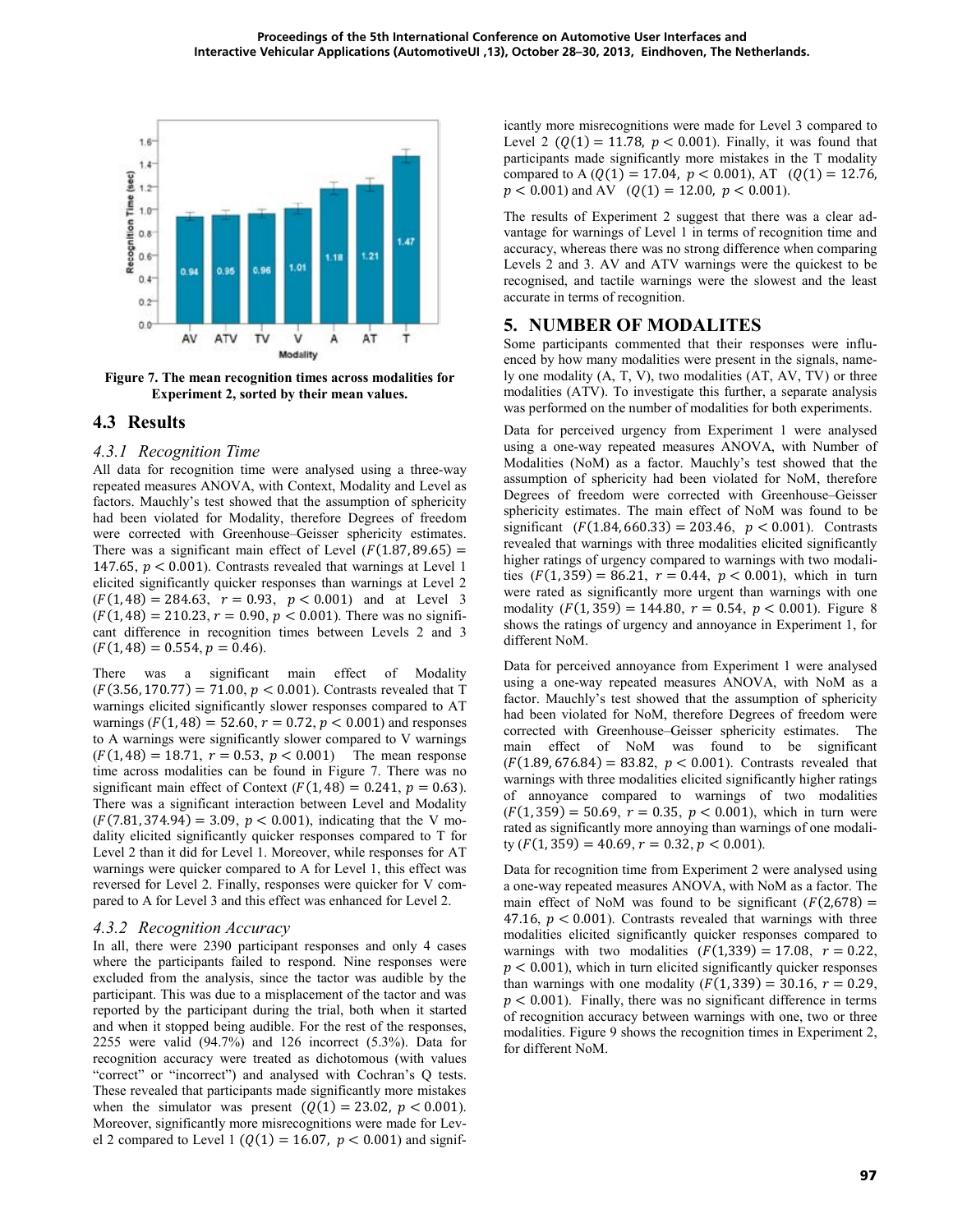

**Figure 7. The mean recognition times across modalities for Experiment 2, sorted by their mean values.** 

### **4.3 Results**

#### *4.3.1 Recognition Time*

All data for recognition time were analysed using a three-way repeated measures ANOVA, with Context, Modality and Level as factors. Mauchly's test showed that the assumption of sphericity had been violated for Modality, therefore Degrees of freedom were corrected with Greenhouse–Geisser sphericity estimates. There was a significant main effect of Level  $(F(1.87, 89.65) =$ 147.65,  $p < 0.001$ ). Contrasts revealed that warnings at Level 1 elicited significantly quicker responses than warnings at Level 2  $(F(1, 48) = 284.63, r = 0.93, p < 0.001)$  and at Level 3  $(F(1, 48) = 210.23, r = 0.90, p < 0.001)$ . There was no significant difference in recognition times between Levels 2 and 3  $(F(1, 48) = 0.554, p = 0.46).$ 

There was a significant main effect of Modality  $(F(3.56, 170.77) = 71.00, p < 0.001)$ . Contrasts revealed that T warnings elicited significantly slower responses compared to AT warnings  $(F(1, 48) = 52.60, r = 0.72, p < 0.001)$  and responses to A warnings were significantly slower compared to V warnings  $(F(1, 48) = 18.71, r = 0.53, p < 0.001)$  The mean response time across modalities can be found in Figure 7. There was no significant main effect of Context  $(F(1, 48) = 0.241, p = 0.63)$ . There was a significant interaction between Level and Modality  $(F(7.81, 374.94) = 3.09, p < 0.001)$ , indicating that the V modality elicited significantly quicker responses compared to T for Level 2 than it did for Level 1. Moreover, while responses for AT warnings were quicker compared to A for Level 1, this effect was reversed for Level 2. Finally, responses were quicker for V compared to A for Level 3 and this effect was enhanced for Level 2.

### *4.3.2 Recognition Accuracy*

In all, there were 2390 participant responses and only 4 cases where the participants failed to respond. Nine responses were excluded from the analysis, since the tactor was audible by the participant. This was due to a misplacement of the tactor and was reported by the participant during the trial, both when it started and when it stopped being audible. For the rest of the responses, 2255 were valid (94.7%) and 126 incorrect (5.3%). Data for recognition accuracy were treated as dichotomous (with values "correct" or "incorrect") and analysed with Cochran's Q tests. These revealed that participants made significantly more mistakes when the simulator was present  $(Q(1) = 23.02, p < 0.001)$ . Moreover, significantly more misrecognitions were made for Level 2 compared to Level 1 ( $Q(1) = 16.07$ ,  $p < 0.001$ ) and signif-

icantly more misrecognitions were made for Level 3 compared to Level 2 ( $Q(1) = 11.78$ ,  $p < 0.001$ ). Finally, it was found that participants made significantly more mistakes in the T modality compared to A ( $Q(1) = 17.04$ ,  $p < 0.001$ ), AT ( $Q(1) = 12.76$ ,  $p < 0.001$ ) and AV  $(Q(1) = 12.00, p < 0.001)$ .

The results of Experiment 2 suggest that there was a clear advantage for warnings of Level 1 in terms of recognition time and accuracy, whereas there was no strong difference when comparing Levels 2 and 3. AV and ATV warnings were the quickest to be recognised, and tactile warnings were the slowest and the least accurate in terms of recognition.

# **5. NUMBER OF MODALITES**

Some participants commented that their responses were influenced by how many modalities were present in the signals, namely one modality (A, T, V), two modalities (AT, AV, TV) or three modalities (ATV). To investigate this further, a separate analysis was performed on the number of modalities for both experiments.

Data for perceived urgency from Experiment 1 were analysed using a one-way repeated measures ANOVA, with Number of Modalities (NoM) as a factor. Mauchly's test showed that the assumption of sphericity had been violated for NoM, therefore Degrees of freedom were corrected with Greenhouse–Geisser sphericity estimates. The main effect of NoM was found to be significant  $(F(1.84, 660.33) = 203.46, p < 0.001)$ . Contrasts revealed that warnings with three modalities elicited significantly higher ratings of urgency compared to warnings with two modalities  $(F(1, 359) = 86.21, r = 0.44, p < 0.001)$ , which in turn were rated as significantly more urgent than warnings with one modality  $(F(1, 359) = 144.80, r = 0.54, p < 0.001)$ . Figure 8 shows the ratings of urgency and annoyance in Experiment 1, for different NoM.

Data for perceived annoyance from Experiment 1 were analysed using a one-way repeated measures ANOVA, with NoM as a factor. Mauchly's test showed that the assumption of sphericity had been violated for NoM, therefore Degrees of freedom were corrected with Greenhouse–Geisser sphericity estimates. The main effect of NoM was found to be significant  $(F(1.89, 676.84) = 83.82, p < 0.001)$ . Contrasts revealed that warnings with three modalities elicited significantly higher ratings of annoyance compared to warnings of two modalities  $(F(1, 359) = 50.69, r = 0.35, p < 0.001)$ , which in turn were rated as significantly more annoying than warnings of one modality  $(F(1, 359) = 40.69, r = 0.32, p < 0.001)$ .

Data for recognition time from Experiment 2 were analysed using a one-way repeated measures ANOVA, with NoM as a factor. The main effect of NoM was found to be significant  $(F(2,678) =$ 47.16,  $p < 0.001$ ). Contrasts revealed that warnings with three modalities elicited significantly quicker responses compared to warnings with two modalities  $(F(1,339) = 17.08, r = 0.22,$  $p < 0.001$ ), which in turn elicited significantly quicker responses than warnings with one modality  $(F(1, 339) = 30.16, r = 0.29,$  $p < 0.001$ ). Finally, there was no significant difference in terms of recognition accuracy between warnings with one, two or three modalities. Figure 9 shows the recognition times in Experiment 2, for different NoM.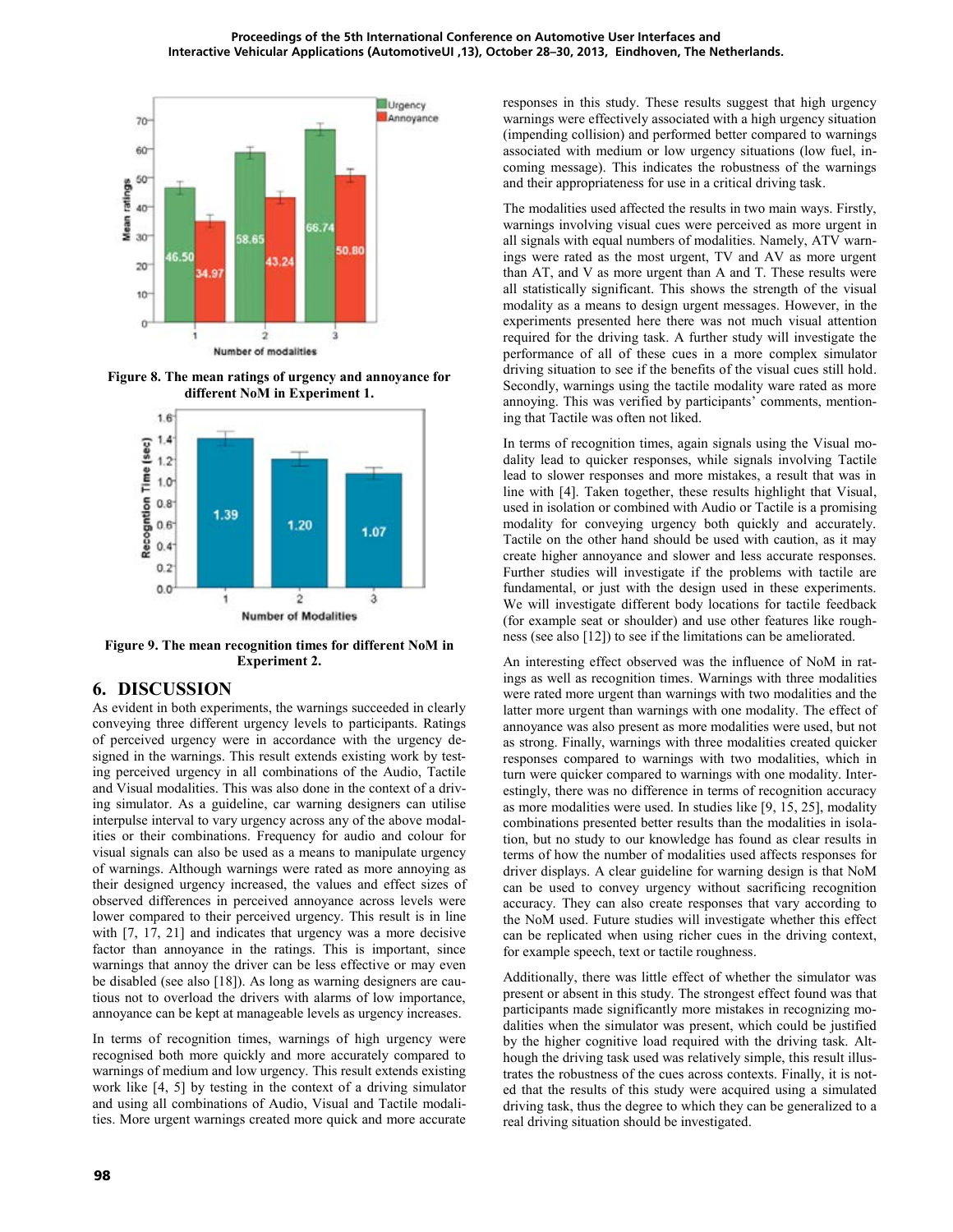

**Figure 8. The mean ratings of urgency and annoyance for different NoM in Experiment 1.** 



**Figure 9. The mean recognition times for different NoM in Experiment 2.** 

# **6. DISCUSSION**

As evident in both experiments, the warnings succeeded in clearly conveying three different urgency levels to participants. Ratings of perceived urgency were in accordance with the urgency designed in the warnings. This result extends existing work by testing perceived urgency in all combinations of the Audio, Tactile and Visual modalities. This was also done in the context of a driving simulator. As a guideline, car warning designers can utilise interpulse interval to vary urgency across any of the above modalities or their combinations. Frequency for audio and colour for visual signals can also be used as a means to manipulate urgency of warnings. Although warnings were rated as more annoying as their designed urgency increased, the values and effect sizes of observed differences in perceived annoyance across levels were lower compared to their perceived urgency. This result is in line with [7, 17, 21] and indicates that urgency was a more decisive factor than annoyance in the ratings. This is important, since warnings that annoy the driver can be less effective or may even be disabled (see also [18]). As long as warning designers are cautious not to overload the drivers with alarms of low importance, annoyance can be kept at manageable levels as urgency increases.

In terms of recognition times, warnings of high urgency were recognised both more quickly and more accurately compared to warnings of medium and low urgency. This result extends existing work like [4, 5] by testing in the context of a driving simulator and using all combinations of Audio, Visual and Tactile modalities. More urgent warnings created more quick and more accurate responses in this study. These results suggest that high urgency warnings were effectively associated with a high urgency situation (impending collision) and performed better compared to warnings associated with medium or low urgency situations (low fuel, incoming message). This indicates the robustness of the warnings and their appropriateness for use in a critical driving task.

The modalities used affected the results in two main ways. Firstly, warnings involving visual cues were perceived as more urgent in all signals with equal numbers of modalities. Namely, ATV warnings were rated as the most urgent, TV and AV as more urgent than AT, and V as more urgent than A and T. These results were all statistically significant. This shows the strength of the visual modality as a means to design urgent messages. However, in the experiments presented here there was not much visual attention required for the driving task. A further study will investigate the performance of all of these cues in a more complex simulator driving situation to see if the benefits of the visual cues still hold. Secondly, warnings using the tactile modality ware rated as more annoying. This was verified by participants' comments, mentioning that Tactile was often not liked.

In terms of recognition times, again signals using the Visual modality lead to quicker responses, while signals involving Tactile lead to slower responses and more mistakes, a result that was in line with [4]. Taken together, these results highlight that Visual, used in isolation or combined with Audio or Tactile is a promising modality for conveying urgency both quickly and accurately. Tactile on the other hand should be used with caution, as it may create higher annoyance and slower and less accurate responses. Further studies will investigate if the problems with tactile are fundamental, or just with the design used in these experiments. We will investigate different body locations for tactile feedback (for example seat or shoulder) and use other features like roughness (see also [12]) to see if the limitations can be ameliorated.

An interesting effect observed was the influence of NoM in ratings as well as recognition times. Warnings with three modalities were rated more urgent than warnings with two modalities and the latter more urgent than warnings with one modality. The effect of annoyance was also present as more modalities were used, but not as strong. Finally, warnings with three modalities created quicker responses compared to warnings with two modalities, which in turn were quicker compared to warnings with one modality. Interestingly, there was no difference in terms of recognition accuracy as more modalities were used. In studies like [9, 15, 25], modality combinations presented better results than the modalities in isolation, but no study to our knowledge has found as clear results in terms of how the number of modalities used affects responses for driver displays. A clear guideline for warning design is that NoM can be used to convey urgency without sacrificing recognition accuracy. They can also create responses that vary according to the NoM used. Future studies will investigate whether this effect can be replicated when using richer cues in the driving context, for example speech, text or tactile roughness.

Additionally, there was little effect of whether the simulator was present or absent in this study. The strongest effect found was that participants made significantly more mistakes in recognizing modalities when the simulator was present, which could be justified by the higher cognitive load required with the driving task. Although the driving task used was relatively simple, this result illustrates the robustness of the cues across contexts. Finally, it is noted that the results of this study were acquired using a simulated driving task, thus the degree to which they can be generalized to a real driving situation should be investigated.